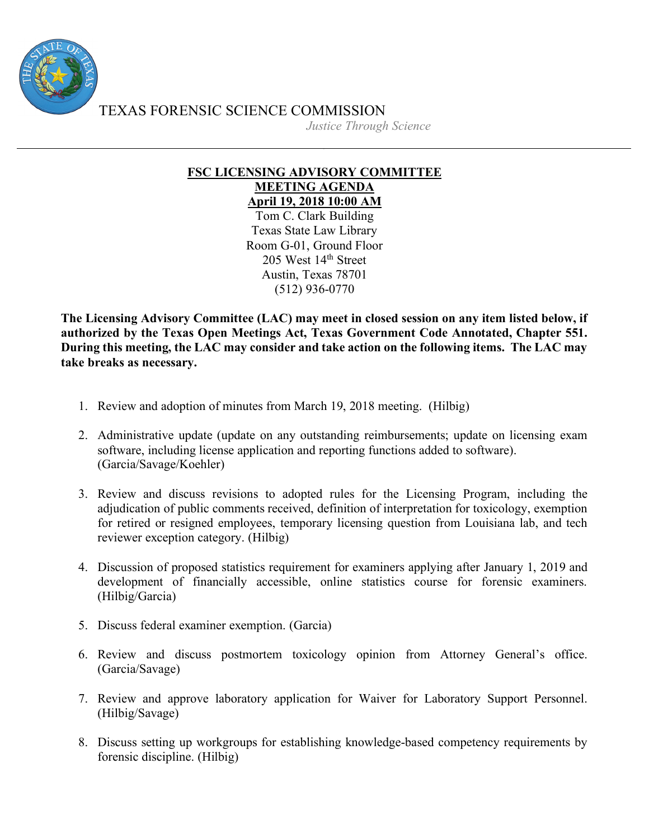

TEXAS FORENSIC SCIENCE COMMISSION

*Justice Through Science*

## **FSC LICENSING ADVISORY COMMITTEE MEETING AGENDA April 19, 2018 10:00 AM**

Tom C. Clark Building Texas State Law Library Room G-01, Ground Floor 205 West 14<sup>th</sup> Street Austin, Texas 78701 (512) 936-0770

**The Licensing Advisory Committee (LAC) may meet in closed session on any item listed below, if authorized by the Texas Open Meetings Act, Texas Government Code Annotated, Chapter 551. During this meeting, the LAC may consider and take action on the following items. The LAC may take breaks as necessary.**

- 1. Review and adoption of minutes from March 19, 2018 meeting. (Hilbig)
- 2. Administrative update (update on any outstanding reimbursements; update on licensing exam software, including license application and reporting functions added to software). (Garcia/Savage/Koehler)
- 3. Review and discuss revisions to adopted rules for the Licensing Program, including the adjudication of public comments received, definition of interpretation for toxicology, exemption for retired or resigned employees, temporary licensing question from Louisiana lab, and tech reviewer exception category. (Hilbig)
- 4. Discussion of proposed statistics requirement for examiners applying after January 1, 2019 and development of financially accessible, online statistics course for forensic examiners. (Hilbig/Garcia)
- 5. Discuss federal examiner exemption. (Garcia)
- 6. Review and discuss postmortem toxicology opinion from Attorney General's office. (Garcia/Savage)
- 7. Review and approve laboratory application for Waiver for Laboratory Support Personnel. (Hilbig/Savage)
- 8. Discuss setting up workgroups for establishing knowledge-based competency requirements by forensic discipline. (Hilbig)